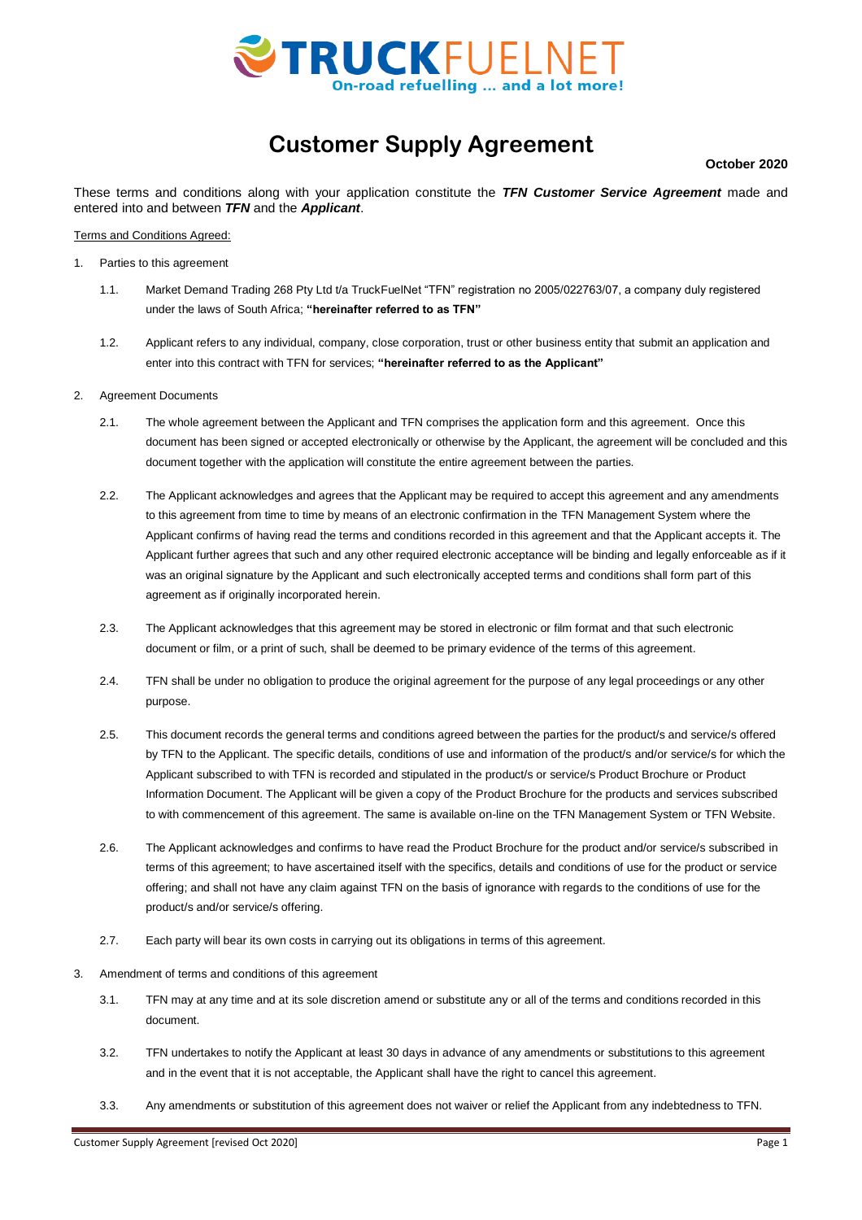

# **Customer Supply Agreement**

### **October 2020**

These terms and conditions along with your application constitute the *TFN Customer Service Agreement* made and entered into and between *TFN* and the *Applicant*.

Terms and Conditions Agreed:

- 1. Parties to this agreement
	- 1.1. Market Demand Trading 268 Pty Ltd t/a TruckFuelNet "TFN" registration no 2005/022763/07, a company duly registered under the laws of South Africa; **"hereinafter referred to as TFN"**
	- 1.2. Applicant refers to any individual, company, close corporation, trust or other business entity that submit an application and enter into this contract with TFN for services; **"hereinafter referred to as the Applicant"**
- 2. Agreement Documents
	- 2.1. The whole agreement between the Applicant and TFN comprises the application form and this agreement. Once this document has been signed or accepted electronically or otherwise by the Applicant, the agreement will be concluded and this document together with the application will constitute the entire agreement between the parties.
	- 2.2. The Applicant acknowledges and agrees that the Applicant may be required to accept this agreement and any amendments to this agreement from time to time by means of an electronic confirmation in the TFN Management System where the Applicant confirms of having read the terms and conditions recorded in this agreement and that the Applicant accepts it. The Applicant further agrees that such and any other required electronic acceptance will be binding and legally enforceable as if it was an original signature by the Applicant and such electronically accepted terms and conditions shall form part of this agreement as if originally incorporated herein.
	- 2.3. The Applicant acknowledges that this agreement may be stored in electronic or film format and that such electronic document or film, or a print of such, shall be deemed to be primary evidence of the terms of this agreement.
	- 2.4. TFN shall be under no obligation to produce the original agreement for the purpose of any legal proceedings or any other purpose.
	- 2.5. This document records the general terms and conditions agreed between the parties for the product/s and service/s offered by TFN to the Applicant. The specific details, conditions of use and information of the product/s and/or service/s for which the Applicant subscribed to with TFN is recorded and stipulated in the product/s or service/s Product Brochure or Product Information Document. The Applicant will be given a copy of the Product Brochure for the products and services subscribed to with commencement of this agreement. The same is available on-line on the TFN Management System or TFN Website.
	- 2.6. The Applicant acknowledges and confirms to have read the Product Brochure for the product and/or service/s subscribed in terms of this agreement; to have ascertained itself with the specifics, details and conditions of use for the product or service offering; and shall not have any claim against TFN on the basis of ignorance with regards to the conditions of use for the product/s and/or service/s offering.
	- 2.7. Each party will bear its own costs in carrying out its obligations in terms of this agreement.
- 3. Amendment of terms and conditions of this agreement
	- 3.1. TFN may at any time and at its sole discretion amend or substitute any or all of the terms and conditions recorded in this document.
	- 3.2. TFN undertakes to notify the Applicant at least 30 days in advance of any amendments or substitutions to this agreement and in the event that it is not acceptable, the Applicant shall have the right to cancel this agreement.
	- 3.3. Any amendments or substitution of this agreement does not waiver or relief the Applicant from any indebtedness to TFN.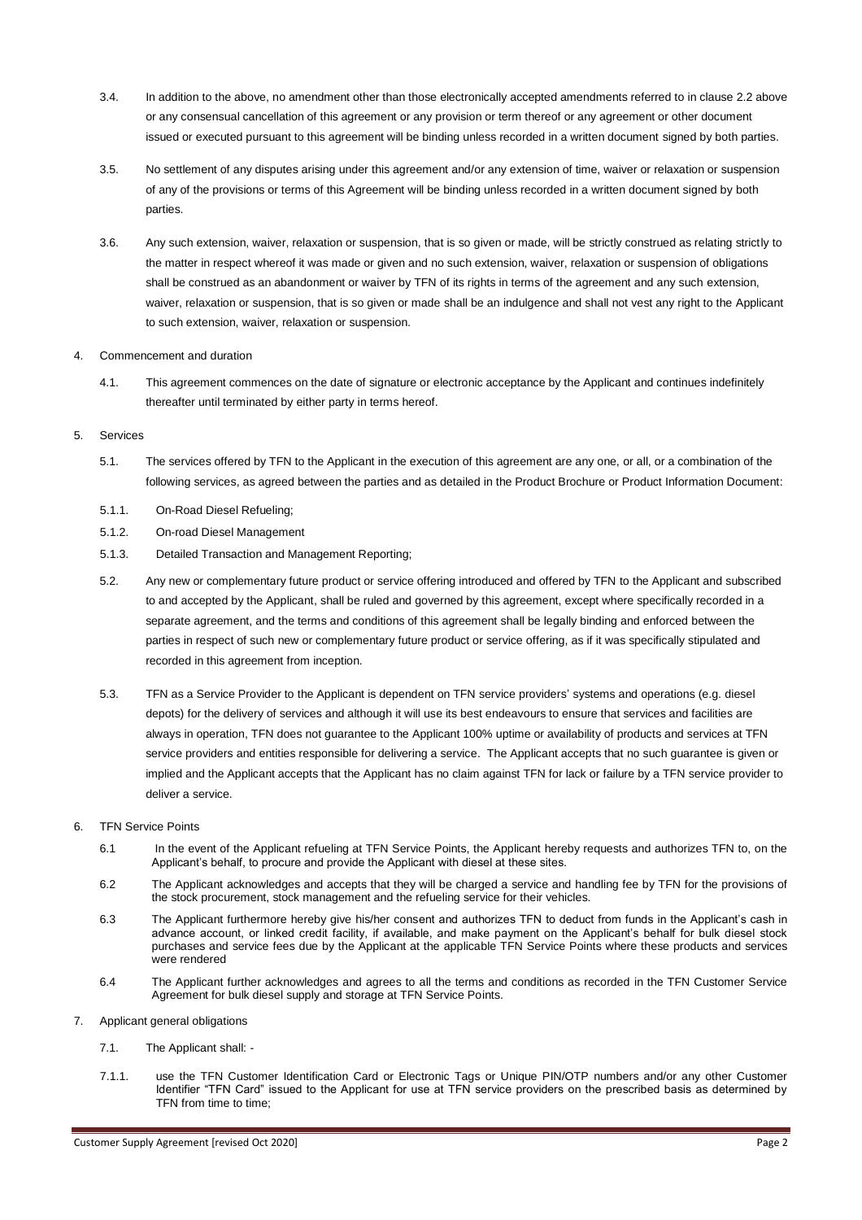- 3.4. In addition to the above, no amendment other than those electronically accepted amendments referred to in clause 2.2 above or any consensual cancellation of this agreement or any provision or term thereof or any agreement or other document issued or executed pursuant to this agreement will be binding unless recorded in a written document signed by both parties.
- 3.5. No settlement of any disputes arising under this agreement and/or any extension of time, waiver or relaxation or suspension of any of the provisions or terms of this Agreement will be binding unless recorded in a written document signed by both parties.
- 3.6. Any such extension, waiver, relaxation or suspension, that is so given or made, will be strictly construed as relating strictly to the matter in respect whereof it was made or given and no such extension, waiver, relaxation or suspension of obligations shall be construed as an abandonment or waiver by TFN of its rights in terms of the agreement and any such extension, waiver, relaxation or suspension, that is so given or made shall be an indulgence and shall not vest any right to the Applicant to such extension, waiver, relaxation or suspension.

## 4. Commencement and duration

4.1. This agreement commences on the date of signature or electronic acceptance by the Applicant and continues indefinitely thereafter until terminated by either party in terms hereof.

#### 5. Services

- 5.1. The services offered by TFN to the Applicant in the execution of this agreement are any one, or all, or a combination of the following services, as agreed between the parties and as detailed in the Product Brochure or Product Information Document:
- 5.1.1. On-Road Diesel Refueling;
- 5.1.2. On-road Diesel Management
- 5.1.3. Detailed Transaction and Management Reporting;
- 5.2. Any new or complementary future product or service offering introduced and offered by TFN to the Applicant and subscribed to and accepted by the Applicant, shall be ruled and governed by this agreement, except where specifically recorded in a separate agreement, and the terms and conditions of this agreement shall be legally binding and enforced between the parties in respect of such new or complementary future product or service offering, as if it was specifically stipulated and recorded in this agreement from inception.
- 5.3. TFN as a Service Provider to the Applicant is dependent on TFN service providers' systems and operations (e.g. diesel depots) for the delivery of services and although it will use its best endeavours to ensure that services and facilities are always in operation, TFN does not guarantee to the Applicant 100% uptime or availability of products and services at TFN service providers and entities responsible for delivering a service. The Applicant accepts that no such guarantee is given or implied and the Applicant accepts that the Applicant has no claim against TFN for lack or failure by a TFN service provider to deliver a service.
- 6. TFN Service Points
	- 6.1 In the event of the Applicant refueling at TFN Service Points, the Applicant hereby requests and authorizes TFN to, on the Applicant's behalf, to procure and provide the Applicant with diesel at these sites.
	- 6.2 The Applicant acknowledges and accepts that they will be charged a service and handling fee by TFN for the provisions of the stock procurement, stock management and the refueling service for their vehicles.
	- 6.3 The Applicant furthermore hereby give his/her consent and authorizes TFN to deduct from funds in the Applicant's cash in advance account, or linked credit facility, if available, and make payment on the Applicant's behalf for bulk diesel stock purchases and service fees due by the Applicant at the applicable TFN Service Points where these products and services were rendered
	- 6.4 The Applicant further acknowledges and agrees to all the terms and conditions as recorded in the TFN Customer Service Agreement for bulk diesel supply and storage at TFN Service Points.
- 7. Applicant general obligations
	- 7.1. The Applicant shall: -
	- 7.1.1. use the TFN Customer Identification Card or Electronic Tags or Unique PIN/OTP numbers and/or any other Customer Identifier "TFN Card" issued to the Applicant for use at TFN service providers on the prescribed basis as determined by TFN from time to time;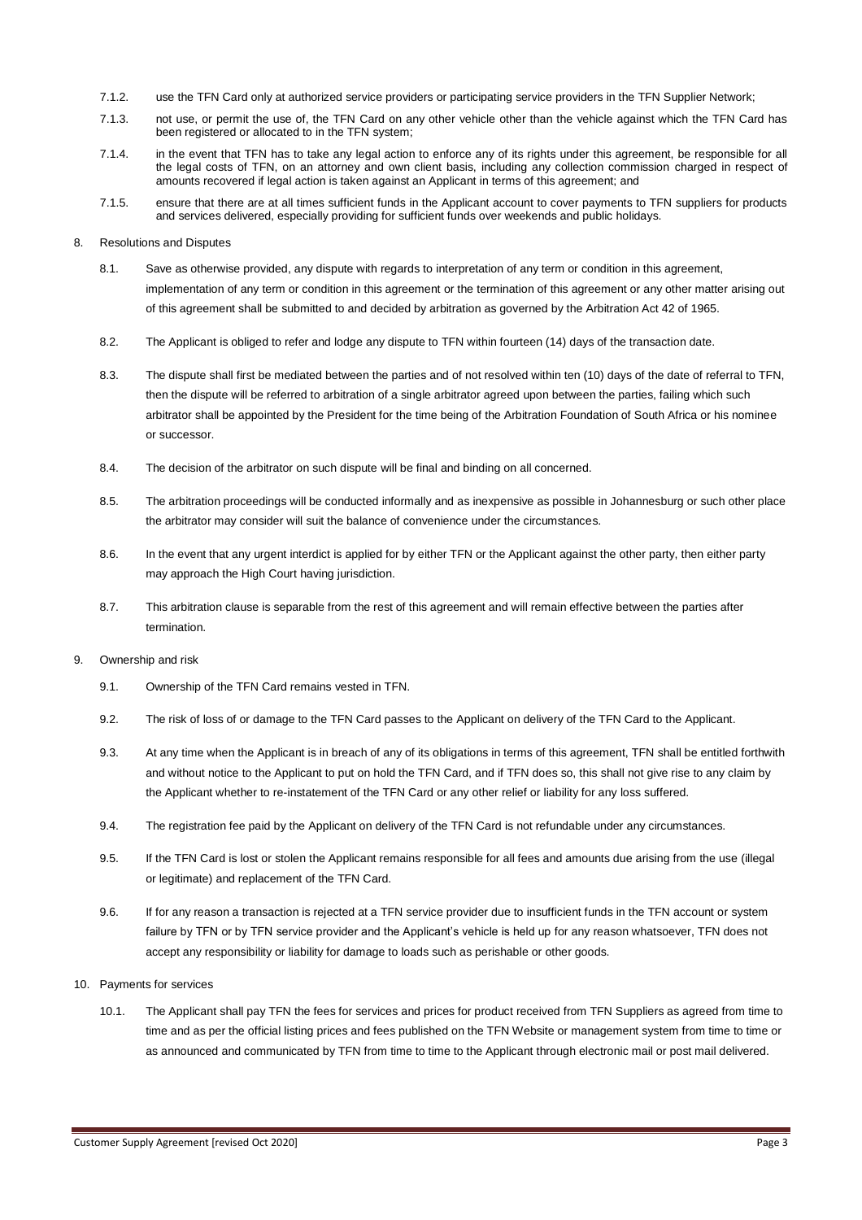- 7.1.2. use the TFN Card only at authorized service providers or participating service providers in the TFN Supplier Network;
- 7.1.3. not use, or permit the use of, the TFN Card on any other vehicle other than the vehicle against which the TFN Card has been registered or allocated to in the TFN system;
- 7.1.4. in the event that TFN has to take any legal action to enforce any of its rights under this agreement, be responsible for all the legal costs of TFN, on an attorney and own client basis, including any collection commission charged in respect of amounts recovered if legal action is taken against an Applicant in terms of this agreement; and
- 7.1.5. ensure that there are at all times sufficient funds in the Applicant account to cover payments to TFN suppliers for products and services delivered, especially providing for sufficient funds over weekends and public holidays.

#### 8. Resolutions and Disputes

- 8.1. Save as otherwise provided, any dispute with regards to interpretation of any term or condition in this agreement, implementation of any term or condition in this agreement or the termination of this agreement or any other matter arising out of this agreement shall be submitted to and decided by arbitration as governed by the Arbitration Act 42 of 1965.
- 8.2. The Applicant is obliged to refer and lodge any dispute to TFN within fourteen (14) days of the transaction date.
- 8.3. The dispute shall first be mediated between the parties and of not resolved within ten (10) days of the date of referral to TFN, then the dispute will be referred to arbitration of a single arbitrator agreed upon between the parties, failing which such arbitrator shall be appointed by the President for the time being of the Arbitration Foundation of South Africa or his nominee or successor.
- 8.4. The decision of the arbitrator on such dispute will be final and binding on all concerned.
- 8.5. The arbitration proceedings will be conducted informally and as inexpensive as possible in Johannesburg or such other place the arbitrator may consider will suit the balance of convenience under the circumstances.
- 8.6. In the event that any urgent interdict is applied for by either TFN or the Applicant against the other party, then either party may approach the High Court having jurisdiction.
- 8.7. This arbitration clause is separable from the rest of this agreement and will remain effective between the parties after termination.
- 9. Ownership and risk
	- 9.1. Ownership of the TFN Card remains vested in TFN.
	- 9.2. The risk of loss of or damage to the TFN Card passes to the Applicant on delivery of the TFN Card to the Applicant.
	- 9.3. At any time when the Applicant is in breach of any of its obligations in terms of this agreement, TFN shall be entitled forthwith and without notice to the Applicant to put on hold the TFN Card, and if TFN does so, this shall not give rise to any claim by the Applicant whether to re-instatement of the TFN Card or any other relief or liability for any loss suffered.
	- 9.4. The registration fee paid by the Applicant on delivery of the TFN Card is not refundable under any circumstances.
	- 9.5. If the TFN Card is lost or stolen the Applicant remains responsible for all fees and amounts due arising from the use (illegal or legitimate) and replacement of the TFN Card.
	- 9.6. If for any reason a transaction is rejected at a TFN service provider due to insufficient funds in the TFN account or system failure by TFN or by TFN service provider and the Applicant's vehicle is held up for any reason whatsoever, TFN does not accept any responsibility or liability for damage to loads such as perishable or other goods.
- 10. Payments for services
	- 10.1. The Applicant shall pay TFN the fees for services and prices for product received from TFN Suppliers as agreed from time to time and as per the official listing prices and fees published on the TFN Website or management system from time to time or as announced and communicated by TFN from time to time to the Applicant through electronic mail or post mail delivered.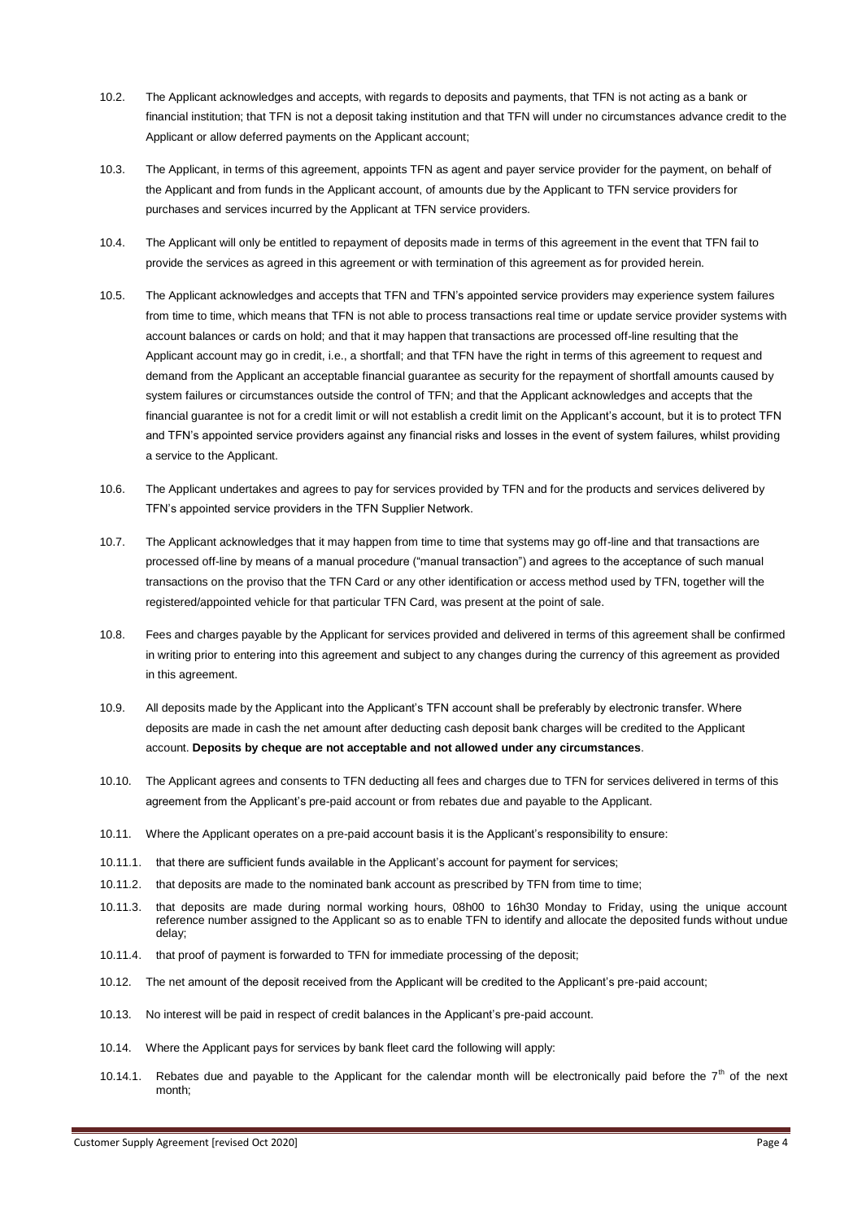- 10.2. The Applicant acknowledges and accepts, with regards to deposits and payments, that TFN is not acting as a bank or financial institution; that TFN is not a deposit taking institution and that TFN will under no circumstances advance credit to the Applicant or allow deferred payments on the Applicant account;
- 10.3. The Applicant, in terms of this agreement, appoints TFN as agent and payer service provider for the payment, on behalf of the Applicant and from funds in the Applicant account, of amounts due by the Applicant to TFN service providers for purchases and services incurred by the Applicant at TFN service providers.
- 10.4. The Applicant will only be entitled to repayment of deposits made in terms of this agreement in the event that TFN fail to provide the services as agreed in this agreement or with termination of this agreement as for provided herein.
- 10.5. The Applicant acknowledges and accepts that TFN and TFN's appointed service providers may experience system failures from time to time, which means that TFN is not able to process transactions real time or update service provider systems with account balances or cards on hold; and that it may happen that transactions are processed off-line resulting that the Applicant account may go in credit, i.e., a shortfall; and that TFN have the right in terms of this agreement to request and demand from the Applicant an acceptable financial guarantee as security for the repayment of shortfall amounts caused by system failures or circumstances outside the control of TFN; and that the Applicant acknowledges and accepts that the financial guarantee is not for a credit limit or will not establish a credit limit on the Applicant's account, but it is to protect TFN and TFN's appointed service providers against any financial risks and losses in the event of system failures, whilst providing a service to the Applicant.
- 10.6. The Applicant undertakes and agrees to pay for services provided by TFN and for the products and services delivered by TFN's appointed service providers in the TFN Supplier Network.
- 10.7. The Applicant acknowledges that it may happen from time to time that systems may go off-line and that transactions are processed off-line by means of a manual procedure ("manual transaction") and agrees to the acceptance of such manual transactions on the proviso that the TFN Card or any other identification or access method used by TFN, together will the registered/appointed vehicle for that particular TFN Card, was present at the point of sale.
- 10.8. Fees and charges payable by the Applicant for services provided and delivered in terms of this agreement shall be confirmed in writing prior to entering into this agreement and subject to any changes during the currency of this agreement as provided in this agreement.
- 10.9. All deposits made by the Applicant into the Applicant's TFN account shall be preferably by electronic transfer. Where deposits are made in cash the net amount after deducting cash deposit bank charges will be credited to the Applicant account. **Deposits by cheque are not acceptable and not allowed under any circumstances**.
- 10.10. The Applicant agrees and consents to TFN deducting all fees and charges due to TFN for services delivered in terms of this agreement from the Applicant's pre-paid account or from rebates due and payable to the Applicant.
- 10.11. Where the Applicant operates on a pre-paid account basis it is the Applicant's responsibility to ensure:
- 10.11.1. that there are sufficient funds available in the Applicant's account for payment for services;
- 10.11.2. that deposits are made to the nominated bank account as prescribed by TFN from time to time;
- 10.11.3. that deposits are made during normal working hours, 08h00 to 16h30 Monday to Friday, using the unique account reference number assigned to the Applicant so as to enable TFN to identify and allocate the deposited funds without undue delay;
- 10.11.4. that proof of payment is forwarded to TFN for immediate processing of the deposit;
- 10.12. The net amount of the deposit received from the Applicant will be credited to the Applicant's pre-paid account;
- 10.13. No interest will be paid in respect of credit balances in the Applicant's pre-paid account.
- 10.14. Where the Applicant pays for services by bank fleet card the following will apply:
- 10.14.1. Rebates due and payable to the Applicant for the calendar month will be electronically paid before the  $7<sup>th</sup>$  of the next month;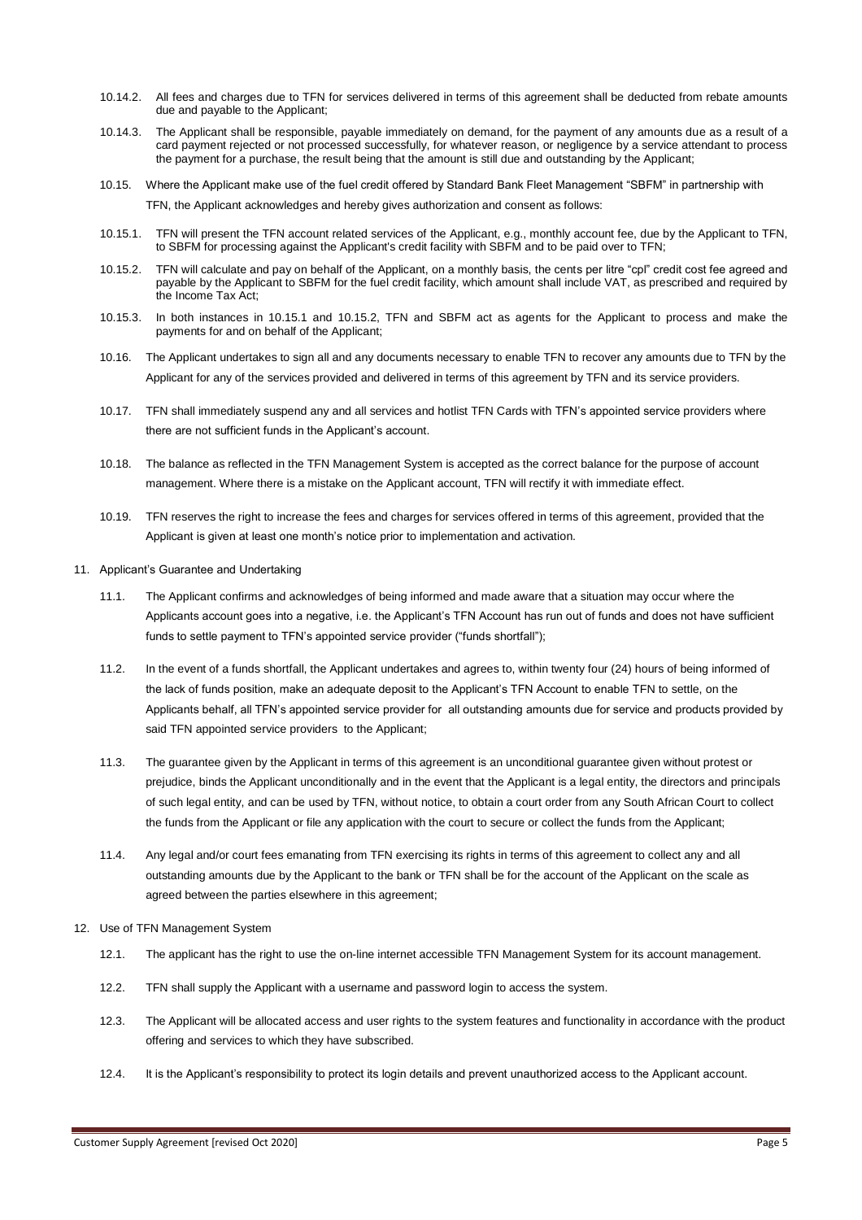- 10.14.2. All fees and charges due to TFN for services delivered in terms of this agreement shall be deducted from rebate amounts due and payable to the Applicant;
- 10.14.3. The Applicant shall be responsible, payable immediately on demand, for the payment of any amounts due as a result of a card payment rejected or not processed successfully, for whatever reason, or negligence by a service attendant to process the payment for a purchase, the result being that the amount is still due and outstanding by the Applicant;
- 10.15. Where the Applicant make use of the fuel credit offered by Standard Bank Fleet Management "SBFM" in partnership with TFN, the Applicant acknowledges and hereby gives authorization and consent as follows:
- 10.15.1. TFN will present the TFN account related services of the Applicant, e.g., monthly account fee, due by the Applicant to TFN, to SBFM for processing against the Applicant's credit facility with SBFM and to be paid over to TFN;
- 10.15.2. TFN will calculate and pay on behalf of the Applicant, on a monthly basis, the cents per litre "cpl" credit cost fee agreed and payable by the Applicant to SBFM for the fuel credit facility, which amount shall include VAT, as prescribed and required by the Income Tax Act;
- 10.15.3. In both instances in 10.15.1 and 10.15.2, TFN and SBFM act as agents for the Applicant to process and make the payments for and on behalf of the Applicant;
- 10.16. The Applicant undertakes to sign all and any documents necessary to enable TFN to recover any amounts due to TFN by the Applicant for any of the services provided and delivered in terms of this agreement by TFN and its service providers.
- 10.17. TFN shall immediately suspend any and all services and hotlist TFN Cards with TFN's appointed service providers where there are not sufficient funds in the Applicant's account.
- 10.18. The balance as reflected in the TFN Management System is accepted as the correct balance for the purpose of account management. Where there is a mistake on the Applicant account, TFN will rectify it with immediate effect.
- 10.19. TFN reserves the right to increase the fees and charges for services offered in terms of this agreement, provided that the Applicant is given at least one month's notice prior to implementation and activation.
- 11. Applicant's Guarantee and Undertaking
	- 11.1. The Applicant confirms and acknowledges of being informed and made aware that a situation may occur where the Applicants account goes into a negative, i.e. the Applicant's TFN Account has run out of funds and does not have sufficient funds to settle payment to TFN's appointed service provider ("funds shortfall"):
	- 11.2. In the event of a funds shortfall, the Applicant undertakes and agrees to, within twenty four (24) hours of being informed of the lack of funds position, make an adequate deposit to the Applicant's TFN Account to enable TFN to settle, on the Applicants behalf, all TFN's appointed service provider for all outstanding amounts due for service and products provided by said TFN appointed service providers to the Applicant;
	- 11.3. The guarantee given by the Applicant in terms of this agreement is an unconditional guarantee given without protest or prejudice, binds the Applicant unconditionally and in the event that the Applicant is a legal entity, the directors and principals of such legal entity, and can be used by TFN, without notice, to obtain a court order from any South African Court to collect the funds from the Applicant or file any application with the court to secure or collect the funds from the Applicant;
	- 11.4. Any legal and/or court fees emanating from TFN exercising its rights in terms of this agreement to collect any and all outstanding amounts due by the Applicant to the bank or TFN shall be for the account of the Applicant on the scale as agreed between the parties elsewhere in this agreement;
- 12. Use of TFN Management System
	- 12.1. The applicant has the right to use the on-line internet accessible TFN Management System for its account management.
	- 12.2. TFN shall supply the Applicant with a username and password login to access the system.
	- 12.3. The Applicant will be allocated access and user rights to the system features and functionality in accordance with the product offering and services to which they have subscribed.
	- 12.4. It is the Applicant's responsibility to protect its login details and prevent unauthorized access to the Applicant account.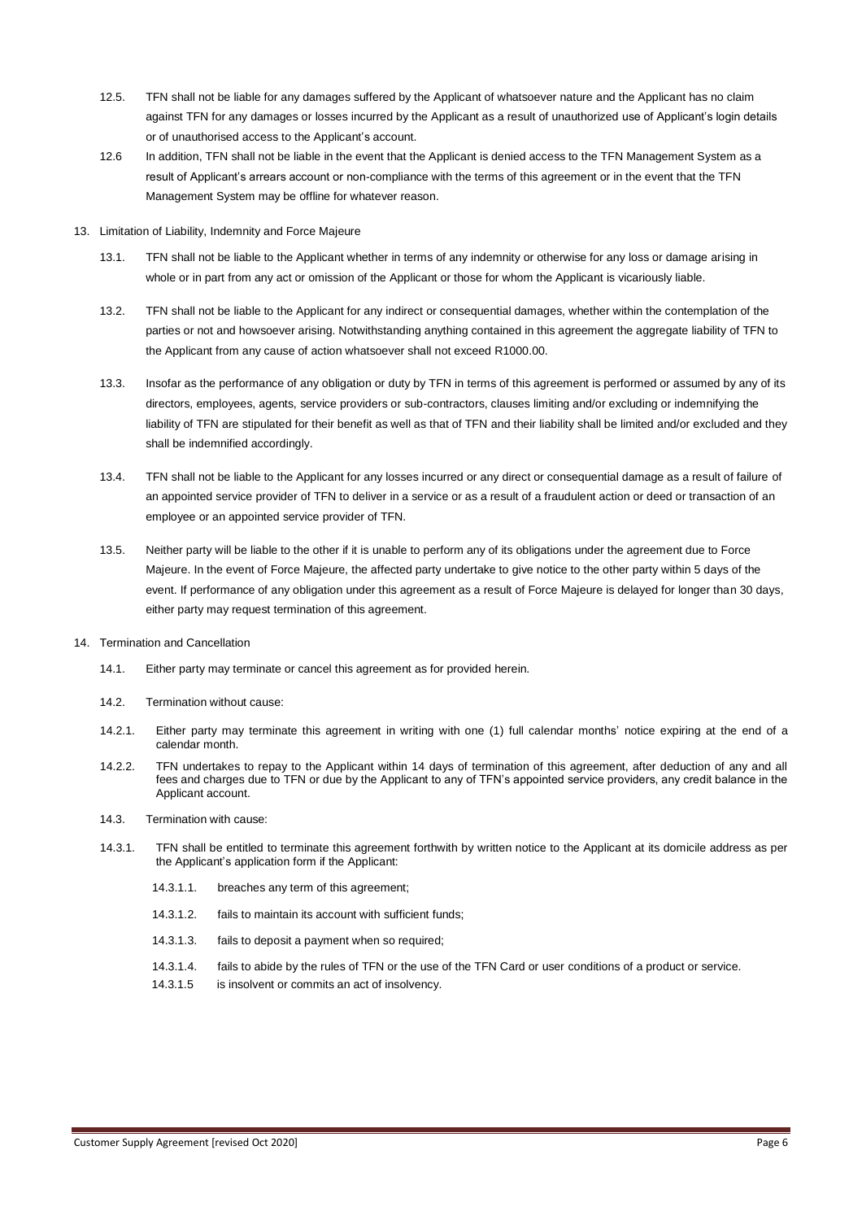- 12.5. TFN shall not be liable for any damages suffered by the Applicant of whatsoever nature and the Applicant has no claim against TFN for any damages or losses incurred by the Applicant as a result of unauthorized use of Applicant's login details or of unauthorised access to the Applicant's account.
- 12.6 In addition, TFN shall not be liable in the event that the Applicant is denied access to the TFN Management System as a result of Applicant's arrears account or non-compliance with the terms of this agreement or in the event that the TFN Management System may be offline for whatever reason.
- 13. Limitation of Liability, Indemnity and Force Majeure
	- 13.1. TFN shall not be liable to the Applicant whether in terms of any indemnity or otherwise for any loss or damage arising in whole or in part from any act or omission of the Applicant or those for whom the Applicant is vicariously liable.
	- 13.2. TFN shall not be liable to the Applicant for any indirect or consequential damages, whether within the contemplation of the parties or not and howsoever arising. Notwithstanding anything contained in this agreement the aggregate liability of TFN to the Applicant from any cause of action whatsoever shall not exceed R1000.00.
	- 13.3. Insofar as the performance of any obligation or duty by TFN in terms of this agreement is performed or assumed by any of its directors, employees, agents, service providers or sub-contractors, clauses limiting and/or excluding or indemnifying the liability of TFN are stipulated for their benefit as well as that of TFN and their liability shall be limited and/or excluded and they shall be indemnified accordingly.
	- 13.4. TFN shall not be liable to the Applicant for any losses incurred or any direct or consequential damage as a result of failure of an appointed service provider of TFN to deliver in a service or as a result of a fraudulent action or deed or transaction of an employee or an appointed service provider of TFN.
	- 13.5. Neither party will be liable to the other if it is unable to perform any of its obligations under the agreement due to Force Majeure. In the event of Force Majeure, the affected party undertake to give notice to the other party within 5 days of the event. If performance of any obligation under this agreement as a result of Force Majeure is delayed for longer than 30 days, either party may request termination of this agreement.
- 14. Termination and Cancellation
	- 14.1. Either party may terminate or cancel this agreement as for provided herein.
	- 14.2. Termination without cause:
	- 14.2.1. Either party may terminate this agreement in writing with one (1) full calendar months' notice expiring at the end of a calendar month.
	- 14.2.2. TFN undertakes to repay to the Applicant within 14 days of termination of this agreement, after deduction of any and all fees and charges due to TFN or due by the Applicant to any of TFN's appointed service providers, any credit balance in the Applicant account.
	- 14.3. Termination with cause:
	- 14.3.1. TFN shall be entitled to terminate this agreement forthwith by written notice to the Applicant at its domicile address as per the Applicant's application form if the Applicant:
		- 14.3.1.1. breaches any term of this agreement;
		- 14.3.1.2. fails to maintain its account with sufficient funds;
		- 14.3.1.3. fails to deposit a payment when so required;
		- 14.3.1.4. fails to abide by the rules of TFN or the use of the TFN Card or user conditions of a product or service.
		- 14.3.1.5 is insolvent or commits an act of insolvency.